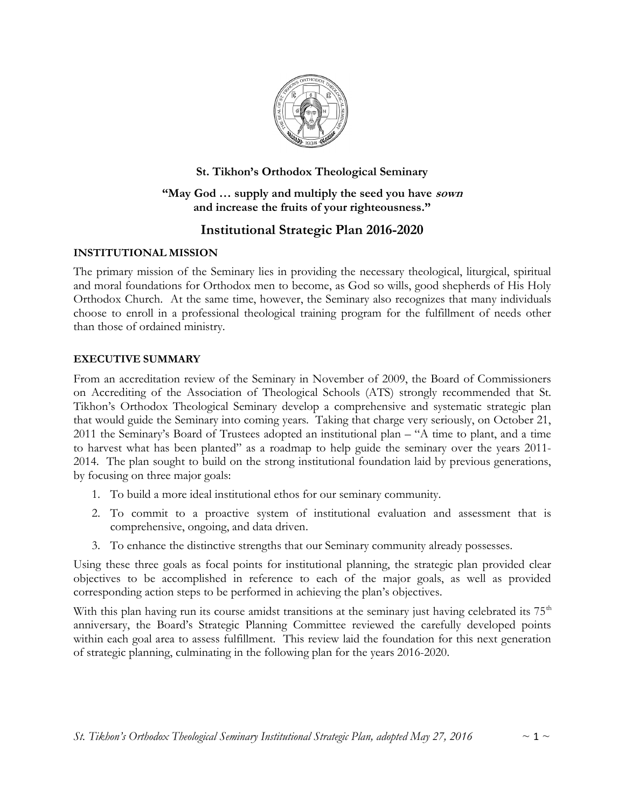

# St. Tikhon's Orthodox Theological Seminary

## "May God ... supply and multiply the seed you have sown and increase the fruits of your righteousness."

# Institutional Strategic Plan 2016-2020

# INSTITUTIONAL MISSION

The primary mission of the Seminary lies in providing the necessary theological, liturgical, spiritual and moral foundations for Orthodox men to become, as God so wills, good shepherds of His Holy Orthodox Church. At the same time, however, the Seminary also recognizes that many individuals choose to enroll in a professional theological training program for the fulfillment of needs other than those of ordained ministry.

# EXECUTIVE SUMMARY

From an accreditation review of the Seminary in November of 2009, the Board of Commissioners on Accrediting of the Association of Theological Schools (ATS) strongly recommended that St. Tikhon's Orthodox Theological Seminary develop a comprehensive and systematic strategic plan that would guide the Seminary into coming years. Taking that charge very seriously, on October 21, 2011 the Seminary's Board of Trustees adopted an institutional plan – "A time to plant, and a time to harvest what has been planted" as a roadmap to help guide the seminary over the years 2011- 2014. The plan sought to build on the strong institutional foundation laid by previous generations, by focusing on three major goals:

- 1. To build a more ideal institutional ethos for our seminary community.
- 2. To commit to a proactive system of institutional evaluation and assessment that is comprehensive, ongoing, and data driven.
- 3. To enhance the distinctive strengths that our Seminary community already possesses.

Using these three goals as focal points for institutional planning, the strategic plan provided clear objectives to be accomplished in reference to each of the major goals, as well as provided corresponding action steps to be performed in achieving the plan's objectives.

With this plan having run its course amidst transitions at the seminary just having celebrated its 75<sup>th</sup> anniversary, the Board's Strategic Planning Committee reviewed the carefully developed points within each goal area to assess fulfillment. This review laid the foundation for this next generation of strategic planning, culminating in the following plan for the years 2016-2020.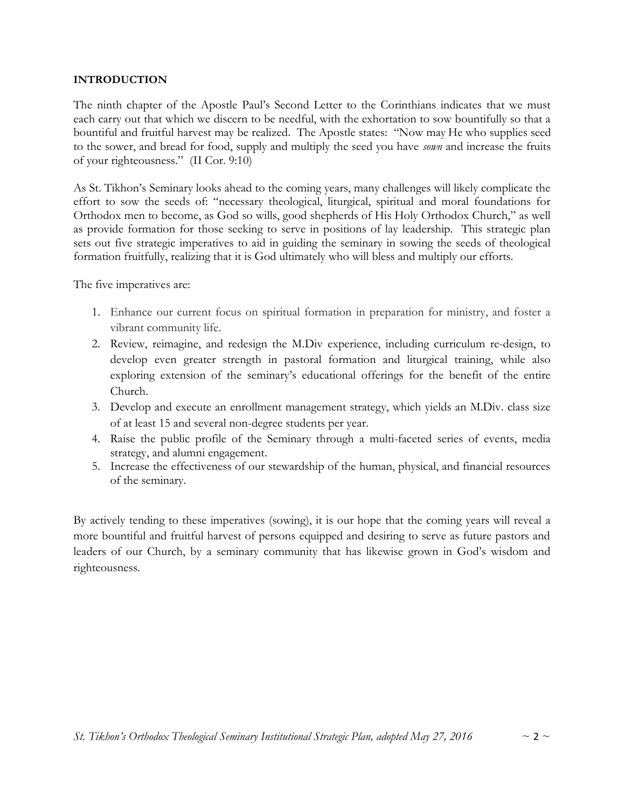#### INTRODUCTION

The ninth chapter of the Apostle Paul's Second Letter to the Corinthians indicates that we must each carry out that which we discern to be needful, with the exhortation to sow bountifully so that a bountiful and fruitful harvest may be realized. The Apostle states: "Now may He who supplies seed to the sower, and bread for food, supply and multiply the seed you have sown and increase the fruits of your righteousness." (II Cor. 9:10)

As St. Tikhon's Seminary looks ahead to the coming years, many challenges will likely complicate the effort to sow the seeds of: "necessary theological, liturgical, spiritual and moral foundations for Orthodox men to become, as God so wills, good shepherds of His Holy Orthodox Church," as well as provide formation for those seeking to serve in positions of lay leadership. This strategic plan sets out five strategic imperatives to aid in guiding the seminary in sowing the seeds of theological formation fruitfully, realizing that it is God ultimately who will bless and multiply our efforts.

The five imperatives are:

- 1. Enhance our current focus on spiritual formation in preparation for ministry, and foster a vibrant community life.
- 2. Review, reimagine, and redesign the M.Div experience, including curriculum re-design, to develop even greater strength in pastoral formation and liturgical training, while also exploring extension of the seminary's educational offerings for the benefit of the entire Church.
- 3. Develop and execute an enrollment management strategy, which yields an M.Div. class size of at least 15 and several non-degree students per year.
- 4. Raise the public profile of the Seminary through a multi-faceted series of events, media strategy, and alumni engagement.
- 5. Increase the effectiveness of our stewardship of the human, physical, and financial resources of the seminary.

By actively tending to these imperatives (sowing), it is our hope that the coming years will reveal a more bountiful and fruitful harvest of persons equipped and desiring to serve as future pastors and leaders of our Church, by a seminary community that has likewise grown in God's wisdom and righteousness.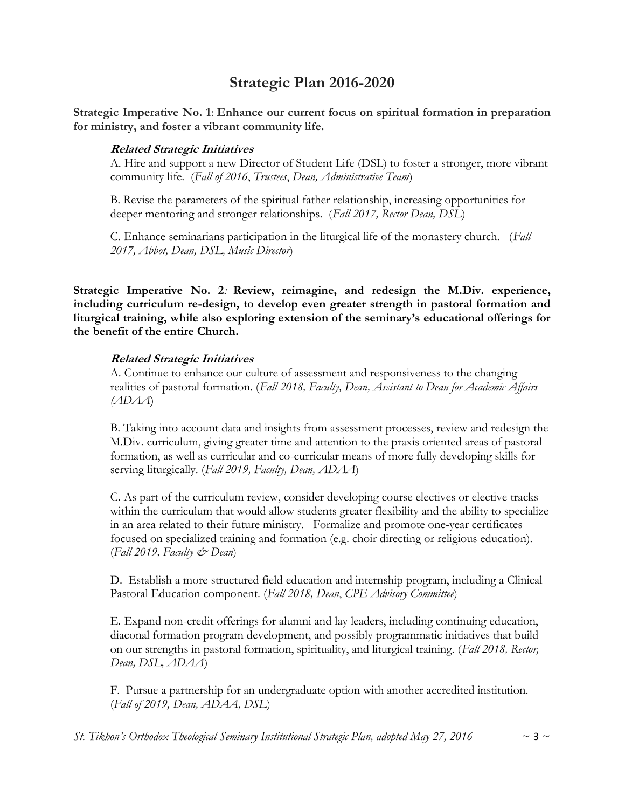# Strategic Plan 2016-2020

Strategic Imperative No. 1: Enhance our current focus on spiritual formation in preparation for ministry, and foster a vibrant community life.

#### Related Strategic Initiatives

A. Hire and support a new Director of Student Life (DSL) to foster a stronger, more vibrant community life. (Fall of 2016, Trustees, Dean, Administrative Team)

B. Revise the parameters of the spiritual father relationship, increasing opportunities for deeper mentoring and stronger relationships. (Fall 2017, Rector Dean, DSL)

C. Enhance seminarians participation in the liturgical life of the monastery church. (Fall 2017, Abbot, Dean, DSL, Music Director)

Strategic Imperative No. 2: Review, reimagine, and redesign the M.Div. experience, including curriculum re-design, to develop even greater strength in pastoral formation and liturgical training, while also exploring extension of the seminary's educational offerings for the benefit of the entire Church.

#### Related Strategic Initiatives

A. Continue to enhance our culture of assessment and responsiveness to the changing realities of pastoral formation. (Fall 2018, Faculty, Dean, Assistant to Dean for Academic Affairs (ADAA)

B. Taking into account data and insights from assessment processes, review and redesign the M.Div. curriculum, giving greater time and attention to the praxis oriented areas of pastoral formation, as well as curricular and co-curricular means of more fully developing skills for serving liturgically. (Fall 2019, Faculty, Dean, ADAA)

C. As part of the curriculum review, consider developing course electives or elective tracks within the curriculum that would allow students greater flexibility and the ability to specialize in an area related to their future ministry. Formalize and promote one-year certificates focused on specialized training and formation (e.g. choir directing or religious education).  $(Fall 2019, Faculty \n\mathcal{O}$  Dean)

D. Establish a more structured field education and internship program, including a Clinical Pastoral Education component. (Fall 2018, Dean, CPE Advisory Committee)

E. Expand non-credit offerings for alumni and lay leaders, including continuing education, diaconal formation program development, and possibly programmatic initiatives that build on our strengths in pastoral formation, spirituality, and liturgical training. (Fall 2018, Rector, Dean, DSL, ADAA)

F. Pursue a partnership for an undergraduate option with another accredited institution. (Fall of 2019, Dean, ADAA, DSL)

St. Tikhon's Orthodox Theological Seminary Institutional Strategic Plan, adopted May 27, 2016  $\sim$  3  $\sim$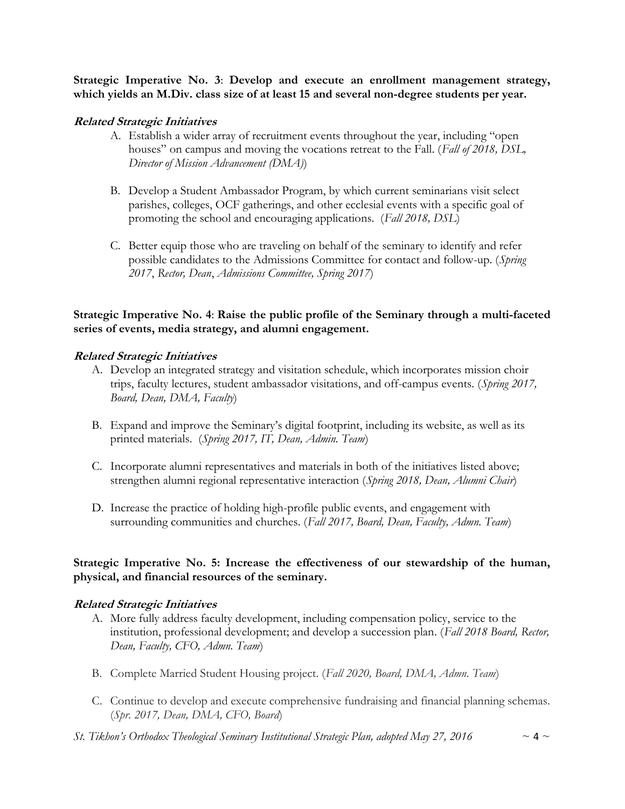Strategic Imperative No. 3: Develop and execute an enrollment management strategy, which yields an M.Div. class size of at least 15 and several non-degree students per year.

#### Related Strategic Initiatives

- A. Establish a wider array of recruitment events throughout the year, including "open houses" on campus and moving the vocations retreat to the Fall. (Fall of 2018, DSL, Director of Mission Advancement (DMA))
- B. Develop a Student Ambassador Program, by which current seminarians visit select parishes, colleges, OCF gatherings, and other ecclesial events with a specific goal of promoting the school and encouraging applications. (Fall 2018, DSL)
- C. Better equip those who are traveling on behalf of the seminary to identify and refer possible candidates to the Admissions Committee for contact and follow-up. (Spring 2017, Rector, Dean, Admissions Committee, Spring 2017)

## Strategic Imperative No. 4: Raise the public profile of the Seminary through a multi-faceted series of events, media strategy, and alumni engagement.

#### Related Strategic Initiatives

- A. Develop an integrated strategy and visitation schedule, which incorporates mission choir trips, faculty lectures, student ambassador visitations, and off-campus events. (Spring 2017, Board, Dean, DMA, Faculty)
- B. Expand and improve the Seminary's digital footprint, including its website, as well as its printed materials. (Spring 2017, IT, Dean, Admin. Team)
- C. Incorporate alumni representatives and materials in both of the initiatives listed above; strengthen alumni regional representative interaction (Spring 2018, Dean, Alumni Chair)
- D. Increase the practice of holding high-profile public events, and engagement with surrounding communities and churches. (Fall 2017, Board, Dean, Faculty, Admn. Team)

#### Strategic Imperative No. 5: Increase the effectiveness of our stewardship of the human, physical, and financial resources of the seminary.

#### Related Strategic Initiatives

- A. More fully address faculty development, including compensation policy, service to the institution, professional development; and develop a succession plan. (Fall 2018 Board, Rector, Dean, Faculty, CFO, Admn. Team)
- B. Complete Married Student Housing project. (Fall 2020, Board, DMA, Admn. Team)
- C. Continue to develop and execute comprehensive fundraising and financial planning schemas. (Spr. 2017, Dean, DMA, CFO, Board)
- St. Tikhon's Orthodox Theological Seminary Institutional Strategic Plan, adopted May 27, 2016  $\sim 4 \sim$